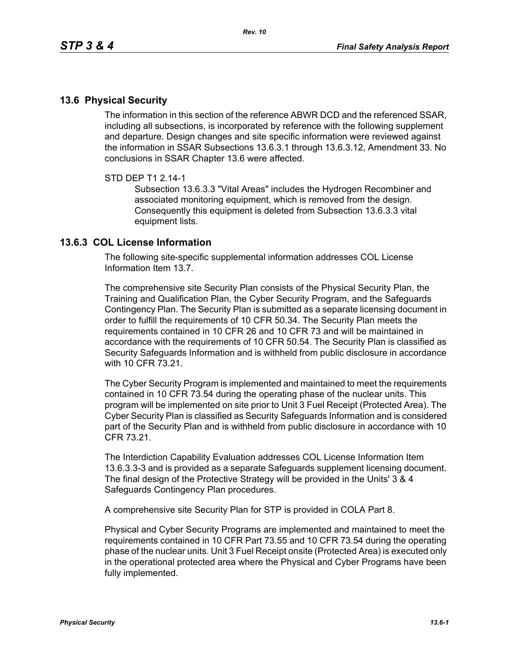## **13.6 Physical Security**

The information in this section of the reference ABWR DCD and the referenced SSAR, including all subsections, is incorporated by reference with the following supplement and departure. Design changes and site specific information were reviewed against the information in SSAR Subsections 13.6.3.1 through 13.6.3.12, Amendment 33. No conclusions in SSAR Chapter 13.6 were affected.

## STD DEP T1 2.14-1

Subsection 13.6.3.3 "Vital Areas" includes the Hydrogen Recombiner and associated monitoring equipment, which is removed from the design. Consequently this equipment is deleted from Subsection 13.6.3.3 vital equipment lists.

## **13.6.3 COL License Information**

The following site-specific supplemental information addresses COL License Information Item 13.7.

The comprehensive site Security Plan consists of the Physical Security Plan, the Training and Qualification Plan, the Cyber Security Program, and the Safeguards Contingency Plan. The Security Plan is submitted as a separate licensing document in order to fulfill the requirements of 10 CFR 50.34. The Security Plan meets the requirements contained in 10 CFR 26 and 10 CFR 73 and will be maintained in accordance with the requirements of 10 CFR 50.54. The Security Plan is classified as Security Safeguards Information and is withheld from public disclosure in accordance with 10 CFR 73 21

The Cyber Security Program is implemented and maintained to meet the requirements contained in 10 CFR 73.54 during the operating phase of the nuclear units. This program will be implemented on site prior to Unit 3 Fuel Receipt (Protected Area). The Cyber Security Plan is classified as Security Safeguards Information and is considered part of the Security Plan and is withheld from public disclosure in accordance with 10 CFR 73.21.

The Interdiction Capability Evaluation addresses COL License Information Item 13.6.3.3-3 and is provided as a separate Safeguards supplement licensing document. The final design of the Protective Strategy will be provided in the Units' 3 & 4 Safeguards Contingency Plan procedures.

A comprehensive site Security Plan for STP is provided in COLA Part 8.

Physical and Cyber Security Programs are implemented and maintained to meet the requirements contained in 10 CFR Part 73.55 and 10 CFR 73.54 during the operating phase of the nuclear units. Unit 3 Fuel Receipt onsite (Protected Area) is executed only in the operational protected area where the Physical and Cyber Programs have been fully implemented.